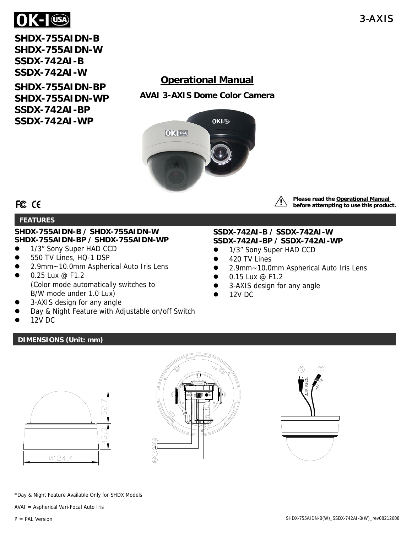

**SHDX-755AIDN-B SHDX-755AIDN-W SSDX-742AI-B SSDX-742AI-W** 

**SHDX-755AIDN-BP SHDX-755AIDN-WP SSDX-742AI-BP SSDX-742AI-WP** 

# **Operational Manual**

**AVAI 3-AXIS Dome Color Camera** 



FCC CE

## **FEATURES**

### **SHDX-755AIDN-B / SHDX-755AIDN-W SHDX-755AIDN-BP / SHDX-755AIDN-WP**

- 1/3" Sony Super HAD CCD
- 550 TV Lines, HQ-1 DSP
- 2.9mm~10.0mm Aspherical Auto Iris Lens
- 0.25 Lux @ F1.2 (Color mode automatically switches to B/W mode under 1.0 Lux)
- 3-AXIS design for any angle
- Day & Night Feature with Adjustable on/off Switch
- 12V DC

# **DIMENSIONS (Unit: mm)**



**Please read the Operational Manual before attempting to use this product.**

## **SSDX-742AI-B / SSDX-742AI-W SSDX-742AI-BP / SSDX-742AI-WP**

- 1/3" Sony Super HAD CCD
- $\bullet$  420 TV Lines
- 2.9mm~10.0mm Aspherical Auto Iris Lens
- 0.15 Lux @ F1.2
- 3-AXIS design for any angle
- 12V DC

\*Day & Night Feature Available Only for SHDX Models

AVAI = Aspherical Vari-Focal Auto Iris

P = PAL Version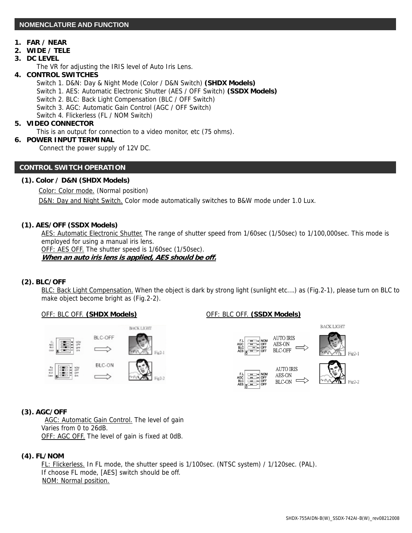### **1. FAR / NEAR**

**2. WIDE / TELE** 

#### **3. DC LEVEL**

 $\overline{a}$ 

The VR for adjusting the IRIS level of Auto Iris Lens.

- **4. CONTROL SWITCHES** 
	- Switch 1. D&N: Day & Night Mode (Color / D&N Switch) **(SHDX Models)**
	- Switch 1. AES: Automatic Electronic Shutter (AES / OFF Switch) **(SSDX Models)**
	- Switch 2. BLC: Back Light Compensation (BLC / OFF Switch)
	- Switch 3. AGC: Automatic Gain Control (AGC / OFF Switch)
	- Switch 4. Flickerless (FL / NOM Switch)

#### **5. VIDEO CONNECTOR**

This is an output for connection to a video monitor, etc (75 ohms).

#### **6. POWER INPUT TERMINAL**

Connect the power supply of 12V DC.

#### **CONTROL SWITCH OPERATION**

#### **(1). Color / D&N (SHDX Models)**

Color: Color mode. (Normal position)

D&N: Day and Night Switch. Color mode automatically switches to B&W mode under 1.0 Lux.

#### **(1). AES/OFF (SSDX Models)**

 AES: Automatic Electronic Shutter. The range of shutter speed from 1/60sec (1/50sec) to 1/100,000sec. This mode is employed for using a manual iris lens.

 OFF: AES OFF. The shutter speed is 1/60sec (1/50sec). **When an auto iris lens is applied, AES should be off.**

#### **(2). BLC/OFF**

 BLC: Back Light Compensation. When the object is dark by strong light (sunlight etc….) as (Fig.2-1), please turn on BLC to make object become bright as (Fig.2-2).

#### OFF: BLC OFF. **(SHDX Models)** OFF: BLC OFF. **(SSDX Models)**









**BACK LIGHT** 





#### **(3). AGC/OFF**

AGC: Automatic Gain Control. The level of gain Varies from 0 to 26dB. OFF: AGC OFF. The level of gain is fixed at 0dB.

#### **(4). FL/NOM**

 FL: Flickerless. In FL mode, the shutter speed is 1/100sec. (NTSC system) / 1/120sec. (PAL). If choose FL mode, [AES] switch should be off. NOM: Normal position.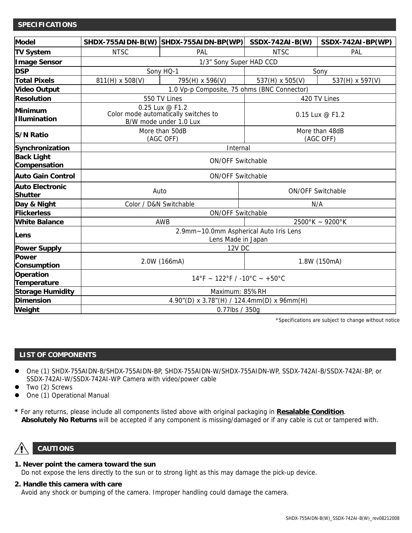#### **SPECIFICATIONS**

| <b>Model</b>                             |                                                                                   | SHDX-755AIDN-B(W) SHDX-755AIDN-BP(WP) | <b>SSDX-742AI-B(W)</b>      | SSDX-742AI-BP(WP) |
|------------------------------------------|-----------------------------------------------------------------------------------|---------------------------------------|-----------------------------|-------------------|
| <b>TV System</b>                         | <b>NTSC</b>                                                                       | PAL                                   | <b>NTSC</b>                 | PAL               |
| <b>Image Sensor</b>                      | 1/3" Sony Super HAD CCD                                                           |                                       |                             |                   |
| <b>DSP</b>                               | Sony HQ-1                                                                         |                                       | Sony                        |                   |
| <b>Total Pixels</b>                      | 811(H) x 508(V)                                                                   | 795(H) x 596(V)                       | 537(H) x 505(V)             | 537(H) x 597(V)   |
| <b>Video Output</b>                      | 1.0 Vp-p Composite, 75 ohms (BNC Connector)                                       |                                       |                             |                   |
| <b>Resolution</b>                        | 550 TV Lines                                                                      |                                       | 420 TV Lines                |                   |
| Minimum<br><b>Illumination</b>           | 0.25 Lux @ F1.2<br>Color mode automatically switches to<br>B/W mode under 1.0 Lux |                                       | 0.15 Lux @ F1.2             |                   |
| <b>S/N Ratio</b>                         | More than 50dB<br>(AGC OFF)                                                       |                                       | More than 48dB<br>(AGC OFF) |                   |
| Synchronization                          | Internal                                                                          |                                       |                             |                   |
| <b>Back Light</b><br>Compensation        | <b>ON/OFF Switchable</b>                                                          |                                       |                             |                   |
| <b>Auto Gain Control</b>                 | <b>ON/OFF Switchable</b>                                                          |                                       |                             |                   |
| <b>Auto Electronic</b><br><b>Shutter</b> | Auto                                                                              |                                       | ON/OFF Switchable           |                   |
| Day & Night                              | Color / D&N Switchable                                                            |                                       | N/A                         |                   |
| <b>Flickerless</b>                       | ON/OFF Switchable                                                                 |                                       |                             |                   |
| <b>White Balance</b>                     | AWB                                                                               |                                       | $2500^{\circ}$ K ~ 9200°K   |                   |
| Lens                                     | 2.9mm~10.0mm Aspherical Auto Iris Lens<br>Lens Made in Japan                      |                                       |                             |                   |
| <b>Power Supply</b>                      | <b>12V DC</b>                                                                     |                                       |                             |                   |
| <b>Power</b><br>Consumption              | 2.0W (166mA)                                                                      |                                       | 1.8W (150mA)                |                   |
| <b>Operation</b><br>Temperature          | $14\degree$ F ~ 122 $\degree$ F / -10 $\degree$ C ~ +50 $\degree$ C               |                                       |                             |                   |
| <b>Storage Humidity</b>                  | Maximum: 85%RH                                                                    |                                       |                             |                   |
| <b>Dimension</b>                         | 4.90"(D) x 3.78"(H) / 124.4mm(D) x 96mm(H)                                        |                                       |                             |                   |
| Weight                                   | 0.77lbs / 350g                                                                    |                                       |                             |                   |

\*Specifications are subject to change without notice

#### **LIST OF COMPONENTS**

- One (1) SHDX-755AIDN-B/SHDX-755AIDN-BP, SHDX-755AIDN-W/SHDX-755AIDN-WP, SSDX-742AI-B/SSDX-742AI-BP, or SSDX-742AI-W/SSDX-742AI-WP Camera with video/power cable
- Two (2) Screws
- One (1) Operational Manual
- **\*** For any returns, please include all components listed above with original packaging in **Resalable Condition**.  **Absolutely No Returns** will be accepted if any component is missing/damaged or if any cable is cut or tampered with.

# **CAUTIONS**

# **1. Never point the camera toward the sun**

Do not expose the lens directly to the sun or to strong light as this may damage the pick-up device.

# **2. Handle this camera with care**

Avoid any shock or bumping of the camera. Improper handling could damage the camera.